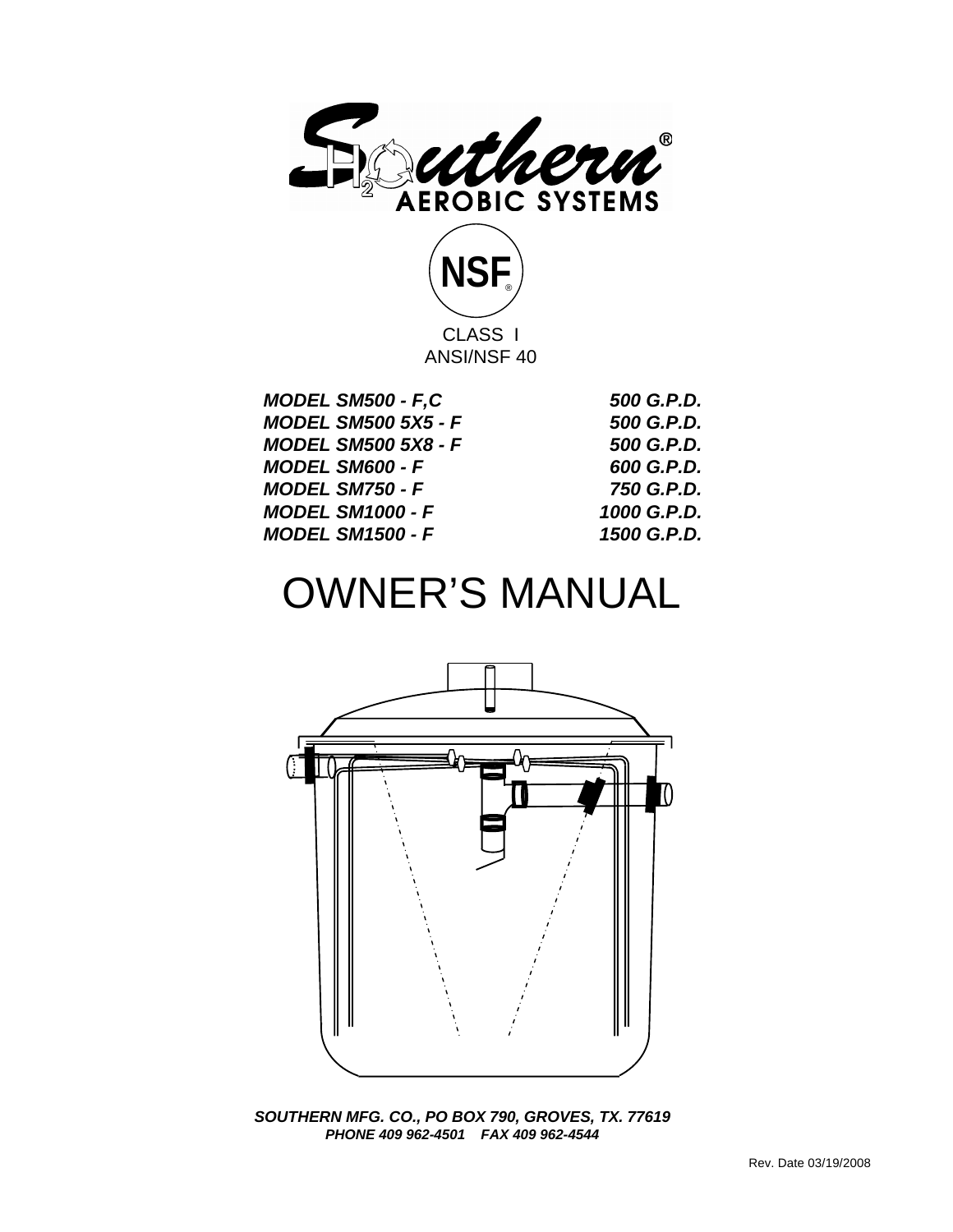



| <b>MODEL SM500 - F,C</b>   | 500 G.P.D.  |
|----------------------------|-------------|
| <b>MODEL SM500 5X5 - F</b> | 500 G.P.D.  |
| <b>MODEL SM500 5X8 - F</b> | 500 G.P.D.  |
| <b>MODEL SM600 - F</b>     | 600 G.P.D.  |
| <b>MODEL SM750 - F</b>     | 750 G.P.D.  |
| <b>MODEL SM1000 - F</b>    | 1000 G.P.D. |
| <b>MODEL SM1500 - F</b>    | 1500 G.P.D. |
|                            |             |

# OWNER'S MANUAL



*SOUTHERN MFG. CO., PO BOX 790, GROVES, TX. 77619 PHONE 409 962-4501 FAX 409 962-4544*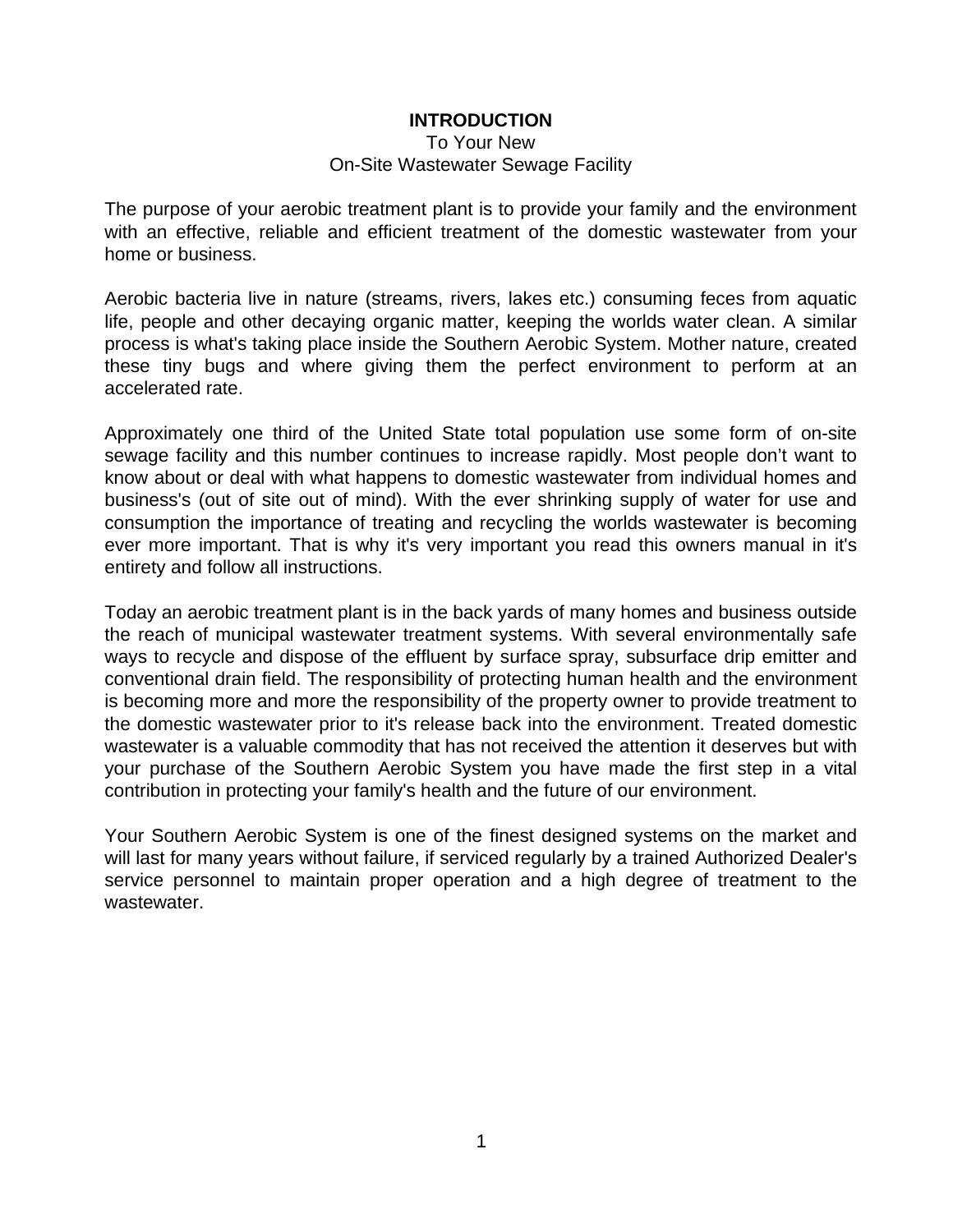### **INTRODUCTION**

To Your New

### On-Site Wastewater Sewage Facility

The purpose of your aerobic treatment plant is to provide your family and the environment with an effective, reliable and efficient treatment of the domestic wastewater from your home or business.

Aerobic bacteria live in nature (streams, rivers, lakes etc.) consuming feces from aquatic life, people and other decaying organic matter, keeping the worlds water clean. A similar process is what's taking place inside the Southern Aerobic System. Mother nature, created these tiny bugs and where giving them the perfect environment to perform at an accelerated rate.

Approximately one third of the United State total population use some form of on-site sewage facility and this number continues to increase rapidly. Most people don't want to know about or deal with what happens to domestic wastewater from individual homes and business's (out of site out of mind). With the ever shrinking supply of water for use and consumption the importance of treating and recycling the worlds wastewater is becoming ever more important. That is why it's very important you read this owners manual in it's entirety and follow all instructions.

Today an aerobic treatment plant is in the back yards of many homes and business outside the reach of municipal wastewater treatment systems. With several environmentally safe ways to recycle and dispose of the effluent by surface spray, subsurface drip emitter and conventional drain field. The responsibility of protecting human health and the environment is becoming more and more the responsibility of the property owner to provide treatment to the domestic wastewater prior to it's release back into the environment. Treated domestic wastewater is a valuable commodity that has not received the attention it deserves but with your purchase of the Southern Aerobic System you have made the first step in a vital contribution in protecting your family's health and the future of our environment.

Your Southern Aerobic System is one of the finest designed systems on the market and will last for many years without failure, if serviced regularly by a trained Authorized Dealer's service personnel to maintain proper operation and a high degree of treatment to the wastewater.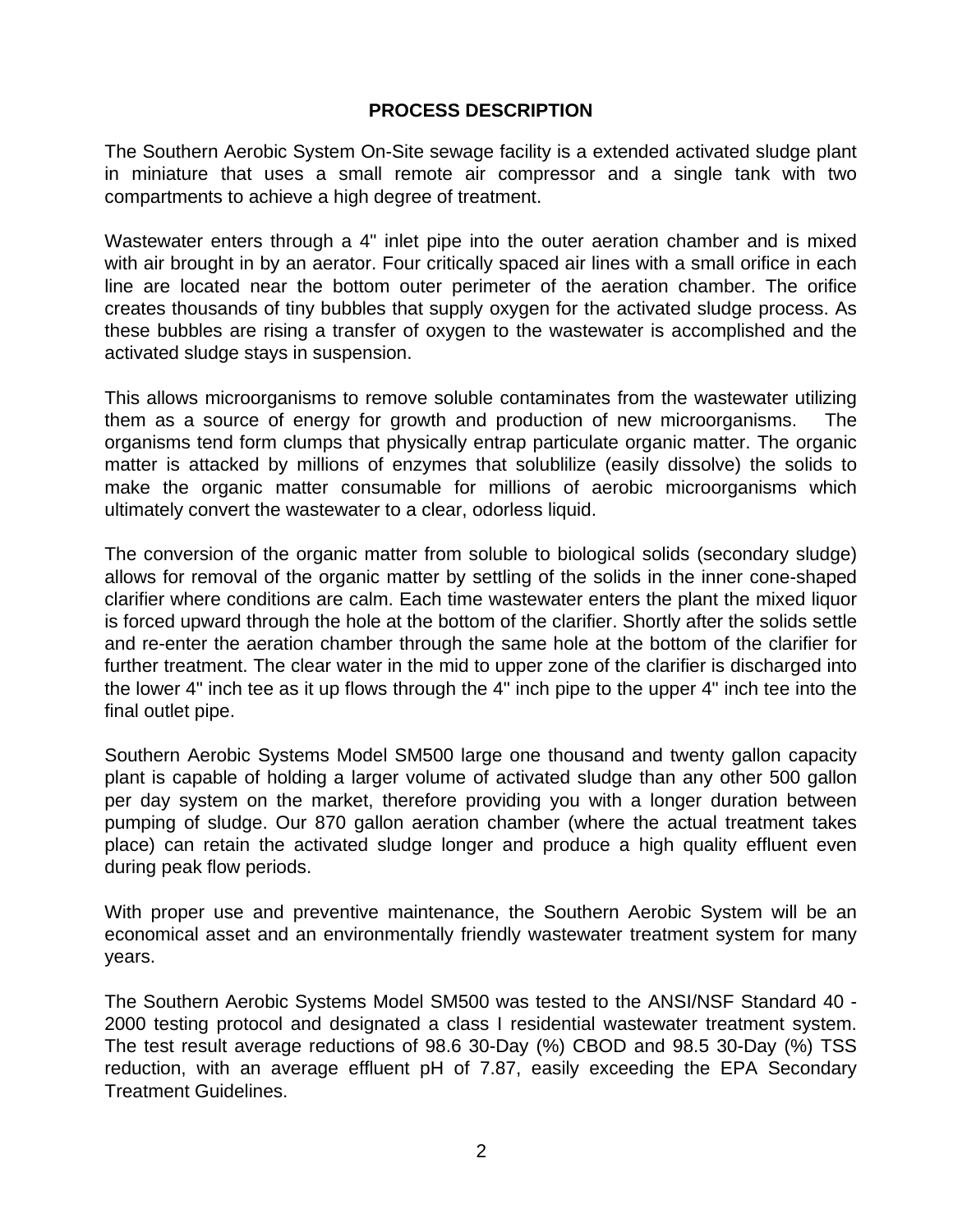### **PROCESS DESCRIPTION**

The Southern Aerobic System On-Site sewage facility is a extended activated sludge plant in miniature that uses a small remote air compressor and a single tank with two compartments to achieve a high degree of treatment.

Wastewater enters through a 4" inlet pipe into the outer aeration chamber and is mixed with air brought in by an aerator. Four critically spaced air lines with a small orifice in each line are located near the bottom outer perimeter of the aeration chamber. The orifice creates thousands of tiny bubbles that supply oxygen for the activated sludge process. As these bubbles are rising a transfer of oxygen to the wastewater is accomplished and the activated sludge stays in suspension.

This allows microorganisms to remove soluble contaminates from the wastewater utilizing them as a source of energy for growth and production of new microorganisms. The organisms tend form clumps that physically entrap particulate organic matter. The organic matter is attacked by millions of enzymes that solublilize (easily dissolve) the solids to make the organic matter consumable for millions of aerobic microorganisms which ultimately convert the wastewater to a clear, odorless liquid.

The conversion of the organic matter from soluble to biological solids (secondary sludge) allows for removal of the organic matter by settling of the solids in the inner cone-shaped clarifier where conditions are calm. Each time wastewater enters the plant the mixed liquor is forced upward through the hole at the bottom of the clarifier. Shortly after the solids settle and re-enter the aeration chamber through the same hole at the bottom of the clarifier for further treatment. The clear water in the mid to upper zone of the clarifier is discharged into the lower 4" inch tee as it up flows through the 4" inch pipe to the upper 4" inch tee into the final outlet pipe.

Southern Aerobic Systems Model SM500 large one thousand and twenty gallon capacity plant is capable of holding a larger volume of activated sludge than any other 500 gallon per day system on the market, therefore providing you with a longer duration between pumping of sludge. Our 870 gallon aeration chamber (where the actual treatment takes place) can retain the activated sludge longer and produce a high quality effluent even during peak flow periods.

With proper use and preventive maintenance, the Southern Aerobic System will be an economical asset and an environmentally friendly wastewater treatment system for many years.

The Southern Aerobic Systems Model SM500 was tested to the ANSI/NSF Standard 40 - 2000 testing protocol and designated a class I residential wastewater treatment system. The test result average reductions of 98.6 30-Day (%) CBOD and 98.5 30-Day (%) TSS reduction, with an average effluent pH of 7.87, easily exceeding the EPA Secondary Treatment Guidelines.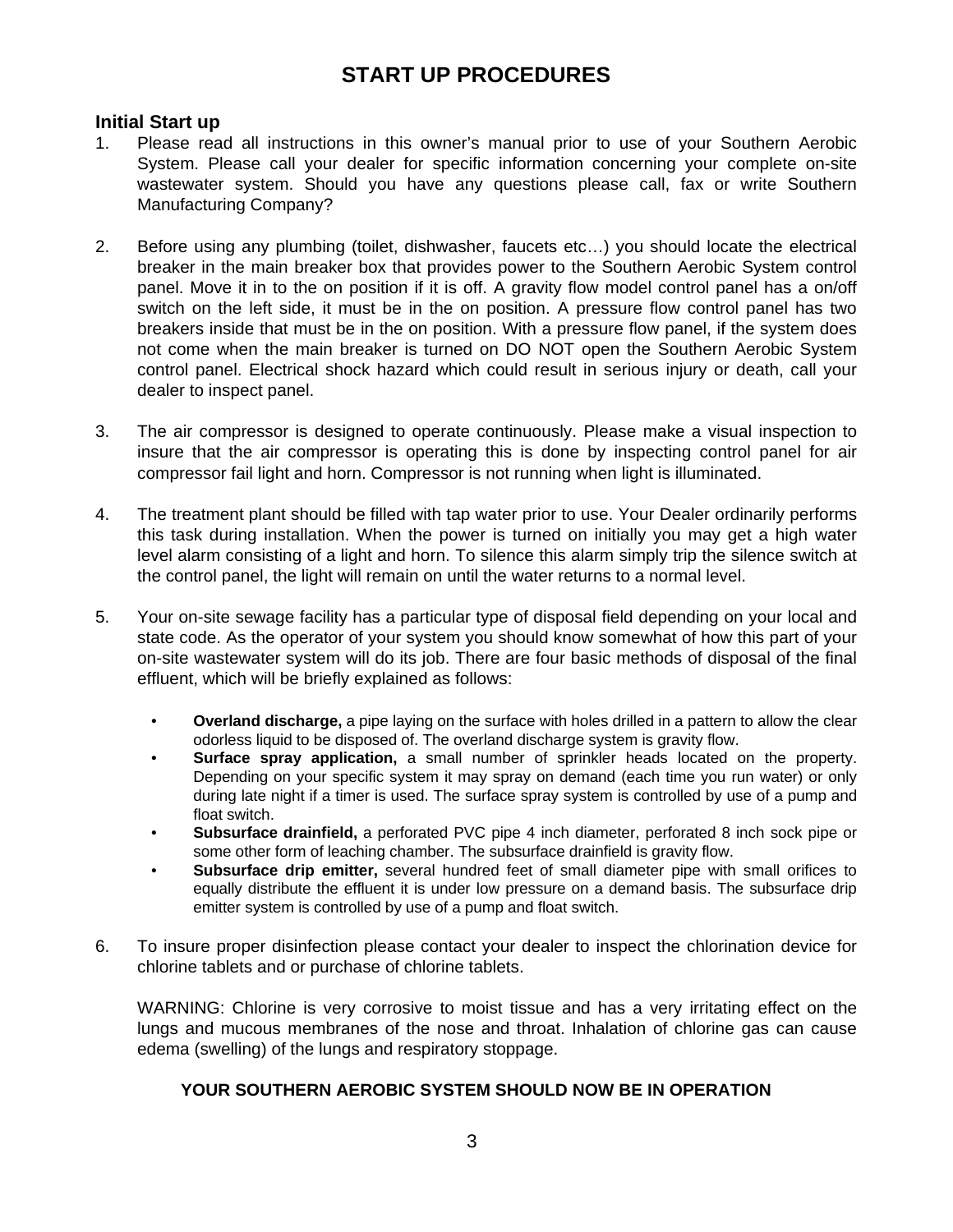### **START UP PROCEDURES**

### **Initial Start up**

- 1. Please read all instructions in this owner's manual prior to use of your Southern Aerobic System. Please call your dealer for specific information concerning your complete on-site wastewater system. Should you have any questions please call, fax or write Southern Manufacturing Company?
- 2. Before using any plumbing (toilet, dishwasher, faucets etc…) you should locate the electrical breaker in the main breaker box that provides power to the Southern Aerobic System control panel. Move it in to the on position if it is off. A gravity flow model control panel has a on/off switch on the left side, it must be in the on position. A pressure flow control panel has two breakers inside that must be in the on position. With a pressure flow panel, if the system does not come when the main breaker is turned on DO NOT open the Southern Aerobic System control panel. Electrical shock hazard which could result in serious injury or death, call your dealer to inspect panel.
- 3. The air compressor is designed to operate continuously. Please make a visual inspection to insure that the air compressor is operating this is done by inspecting control panel for air compressor fail light and horn. Compressor is not running when light is illuminated.
- 4. The treatment plant should be filled with tap water prior to use. Your Dealer ordinarily performs this task during installation. When the power is turned on initially you may get a high water level alarm consisting of a light and horn. To silence this alarm simply trip the silence switch at the control panel, the light will remain on until the water returns to a normal level.
- 5. Your on-site sewage facility has a particular type of disposal field depending on your local and state code. As the operator of your system you should know somewhat of how this part of your on-site wastewater system will do its job. There are four basic methods of disposal of the final effluent, which will be briefly explained as follows:
	- **Overland discharge,** a pipe laying on the surface with holes drilled in a pattern to allow the clear odorless liquid to be disposed of. The overland discharge system is gravity flow.
	- **Surface spray application,** a small number of sprinkler heads located on the property. Depending on your specific system it may spray on demand (each time you run water) or only during late night if a timer is used. The surface spray system is controlled by use of a pump and float switch.
	- **Subsurface drainfield,** a perforated PVC pipe 4 inch diameter, perforated 8 inch sock pipe or some other form of leaching chamber. The subsurface drainfield is gravity flow.
	- **Subsurface drip emitter,** several hundred feet of small diameter pipe with small orifices to equally distribute the effluent it is under low pressure on a demand basis. The subsurface drip emitter system is controlled by use of a pump and float switch.
- 6. To insure proper disinfection please contact your dealer to inspect the chlorination device for chlorine tablets and or purchase of chlorine tablets.

WARNING: Chlorine is very corrosive to moist tissue and has a very irritating effect on the lungs and mucous membranes of the nose and throat. Inhalation of chlorine gas can cause edema (swelling) of the lungs and respiratory stoppage.

### **YOUR SOUTHERN AEROBIC SYSTEM SHOULD NOW BE IN OPERATION**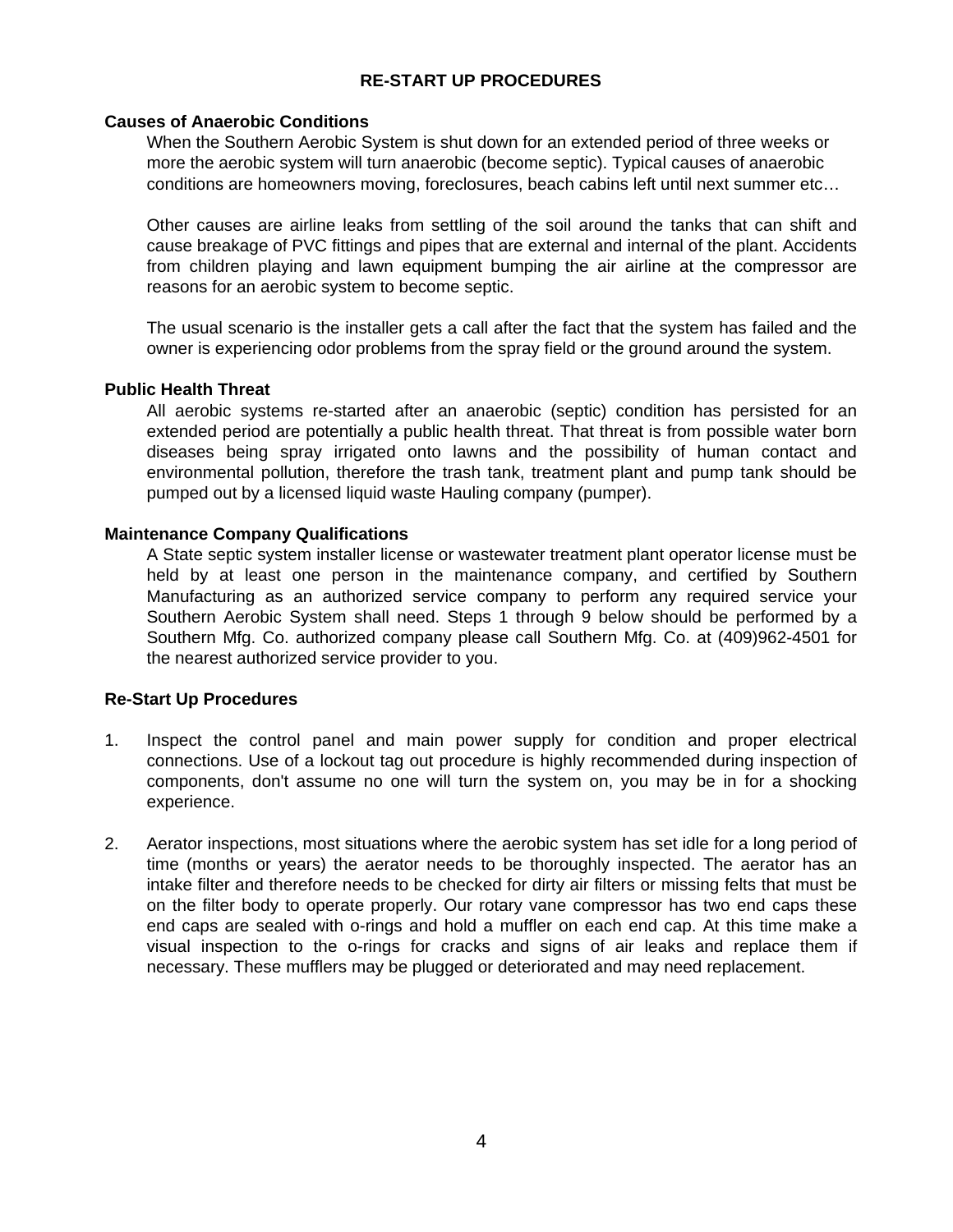### **RE-START UP PROCEDURES**

### **Causes of Anaerobic Conditions**

When the Southern Aerobic System is shut down for an extended period of three weeks or more the aerobic system will turn anaerobic (become septic). Typical causes of anaerobic conditions are homeowners moving, foreclosures, beach cabins left until next summer etc…

Other causes are airline leaks from settling of the soil around the tanks that can shift and cause breakage of PVC fittings and pipes that are external and internal of the plant. Accidents from children playing and lawn equipment bumping the air airline at the compressor are reasons for an aerobic system to become septic.

The usual scenario is the installer gets a call after the fact that the system has failed and the owner is experiencing odor problems from the spray field or the ground around the system.

#### **Public Health Threat**

All aerobic systems re-started after an anaerobic (septic) condition has persisted for an extended period are potentially a public health threat. That threat is from possible water born diseases being spray irrigated onto lawns and the possibility of human contact and environmental pollution, therefore the trash tank, treatment plant and pump tank should be pumped out by a licensed liquid waste Hauling company (pumper).

### **Maintenance Company Qualifications**

A State septic system installer license or wastewater treatment plant operator license must be held by at least one person in the maintenance company, and certified by Southern Manufacturing as an authorized service company to perform any required service your Southern Aerobic System shall need. Steps 1 through 9 below should be performed by a Southern Mfg. Co. authorized company please call Southern Mfg. Co. at (409)962-4501 for the nearest authorized service provider to you.

### **Re-Start Up Procedures**

- 1. Inspect the control panel and main power supply for condition and proper electrical connections. Use of a lockout tag out procedure is highly recommended during inspection of components, don't assume no one will turn the system on, you may be in for a shocking experience.
- 2. Aerator inspections, most situations where the aerobic system has set idle for a long period of time (months or years) the aerator needs to be thoroughly inspected. The aerator has an intake filter and therefore needs to be checked for dirty air filters or missing felts that must be on the filter body to operate properly. Our rotary vane compressor has two end caps these end caps are sealed with o-rings and hold a muffler on each end cap. At this time make a visual inspection to the o-rings for cracks and signs of air leaks and replace them if necessary. These mufflers may be plugged or deteriorated and may need replacement.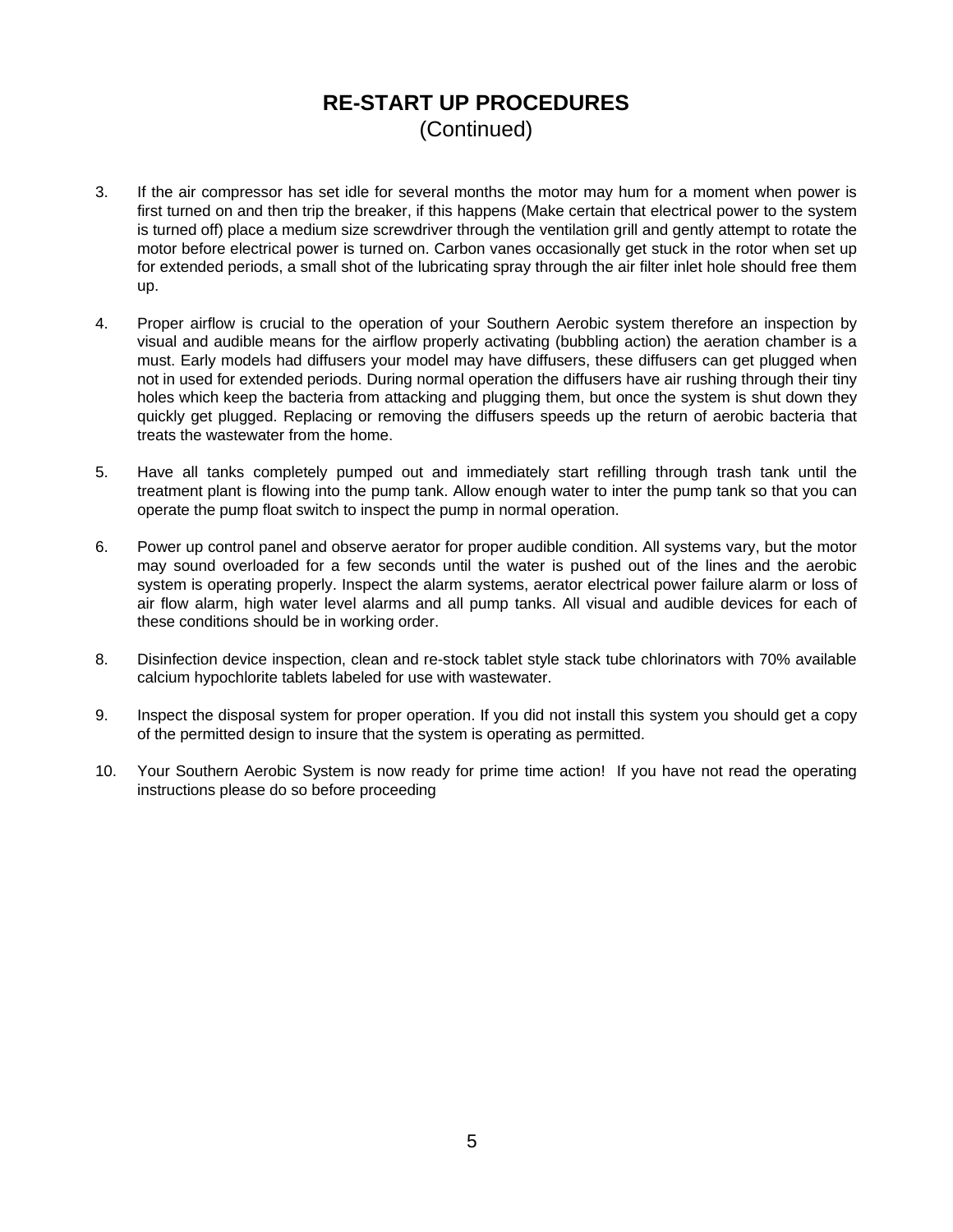### **RE-START UP PROCEDURES**  (Continued)

- 3. If the air compressor has set idle for several months the motor may hum for a moment when power is first turned on and then trip the breaker, if this happens (Make certain that electrical power to the system is turned off) place a medium size screwdriver through the ventilation grill and gently attempt to rotate the motor before electrical power is turned on. Carbon vanes occasionally get stuck in the rotor when set up for extended periods, a small shot of the lubricating spray through the air filter inlet hole should free them up.
- 4. Proper airflow is crucial to the operation of your Southern Aerobic system therefore an inspection by visual and audible means for the airflow properly activating (bubbling action) the aeration chamber is a must. Early models had diffusers your model may have diffusers, these diffusers can get plugged when not in used for extended periods. During normal operation the diffusers have air rushing through their tiny holes which keep the bacteria from attacking and plugging them, but once the system is shut down they quickly get plugged. Replacing or removing the diffusers speeds up the return of aerobic bacteria that treats the wastewater from the home.
- 5. Have all tanks completely pumped out and immediately start refilling through trash tank until the treatment plant is flowing into the pump tank. Allow enough water to inter the pump tank so that you can operate the pump float switch to inspect the pump in normal operation.
- 6. Power up control panel and observe aerator for proper audible condition. All systems vary, but the motor may sound overloaded for a few seconds until the water is pushed out of the lines and the aerobic system is operating properly. Inspect the alarm systems, aerator electrical power failure alarm or loss of air flow alarm, high water level alarms and all pump tanks. All visual and audible devices for each of these conditions should be in working order.
- 8. Disinfection device inspection, clean and re-stock tablet style stack tube chlorinators with 70% available calcium hypochlorite tablets labeled for use with wastewater.
- 9. Inspect the disposal system for proper operation. If you did not install this system you should get a copy of the permitted design to insure that the system is operating as permitted.
- 10. Your Southern Aerobic System is now ready for prime time action! If you have not read the operating instructions please do so before proceeding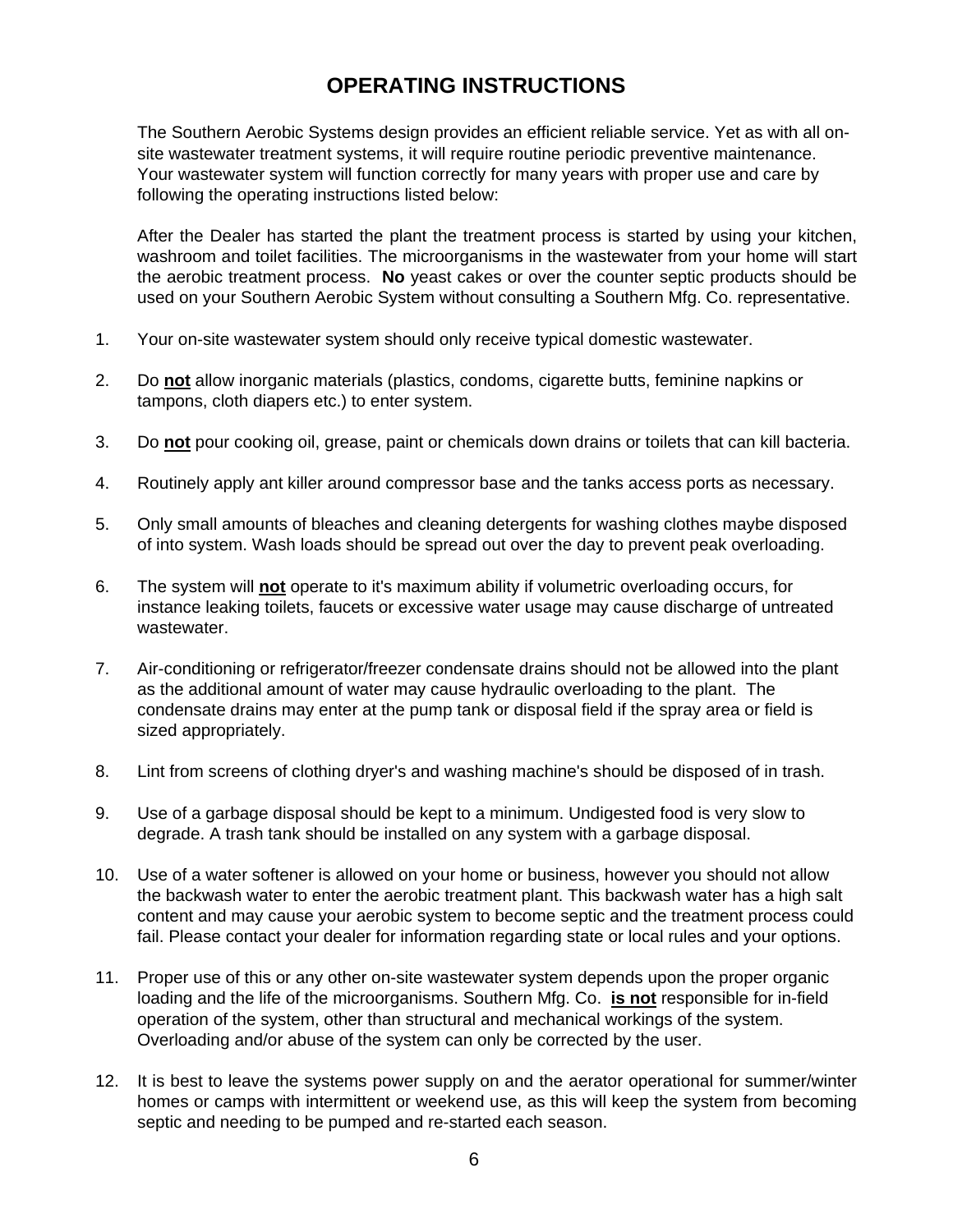# **OPERATING INSTRUCTIONS**

The Southern Aerobic Systems design provides an efficient reliable service. Yet as with all onsite wastewater treatment systems, it will require routine periodic preventive maintenance. Your wastewater system will function correctly for many years with proper use and care by following the operating instructions listed below:

After the Dealer has started the plant the treatment process is started by using your kitchen, washroom and toilet facilities. The microorganisms in the wastewater from your home will start the aerobic treatment process. **No** yeast cakes or over the counter septic products should be used on your Southern Aerobic System without consulting a Southern Mfg. Co. representative.

- 1. Your on-site wastewater system should only receive typical domestic wastewater.
- 2. Do **not** allow inorganic materials (plastics, condoms, cigarette butts, feminine napkins or tampons, cloth diapers etc.) to enter system.
- 3. Do **not** pour cooking oil, grease, paint or chemicals down drains or toilets that can kill bacteria.
- 4. Routinely apply ant killer around compressor base and the tanks access ports as necessary.
- 5. Only small amounts of bleaches and cleaning detergents for washing clothes maybe disposed of into system. Wash loads should be spread out over the day to prevent peak overloading.
- 6. The system will **not** operate to it's maximum ability if volumetric overloading occurs, for instance leaking toilets, faucets or excessive water usage may cause discharge of untreated wastewater.
- 7. Air-conditioning or refrigerator/freezer condensate drains should not be allowed into the plant as the additional amount of water may cause hydraulic overloading to the plant. The condensate drains may enter at the pump tank or disposal field if the spray area or field is sized appropriately.
- 8. Lint from screens of clothing dryer's and washing machine's should be disposed of in trash.
- 9. Use of a garbage disposal should be kept to a minimum. Undigested food is very slow to degrade. A trash tank should be installed on any system with a garbage disposal.
- 10. Use of a water softener is allowed on your home or business, however you should not allow the backwash water to enter the aerobic treatment plant. This backwash water has a high salt content and may cause your aerobic system to become septic and the treatment process could fail. Please contact your dealer for information regarding state or local rules and your options.
- 11. Proper use of this or any other on-site wastewater system depends upon the proper organic loading and the life of the microorganisms. Southern Mfg. Co. **is not** responsible for in-field operation of the system, other than structural and mechanical workings of the system. Overloading and/or abuse of the system can only be corrected by the user.
- 12. It is best to leave the systems power supply on and the aerator operational for summer/winter homes or camps with intermittent or weekend use, as this will keep the system from becoming septic and needing to be pumped and re-started each season.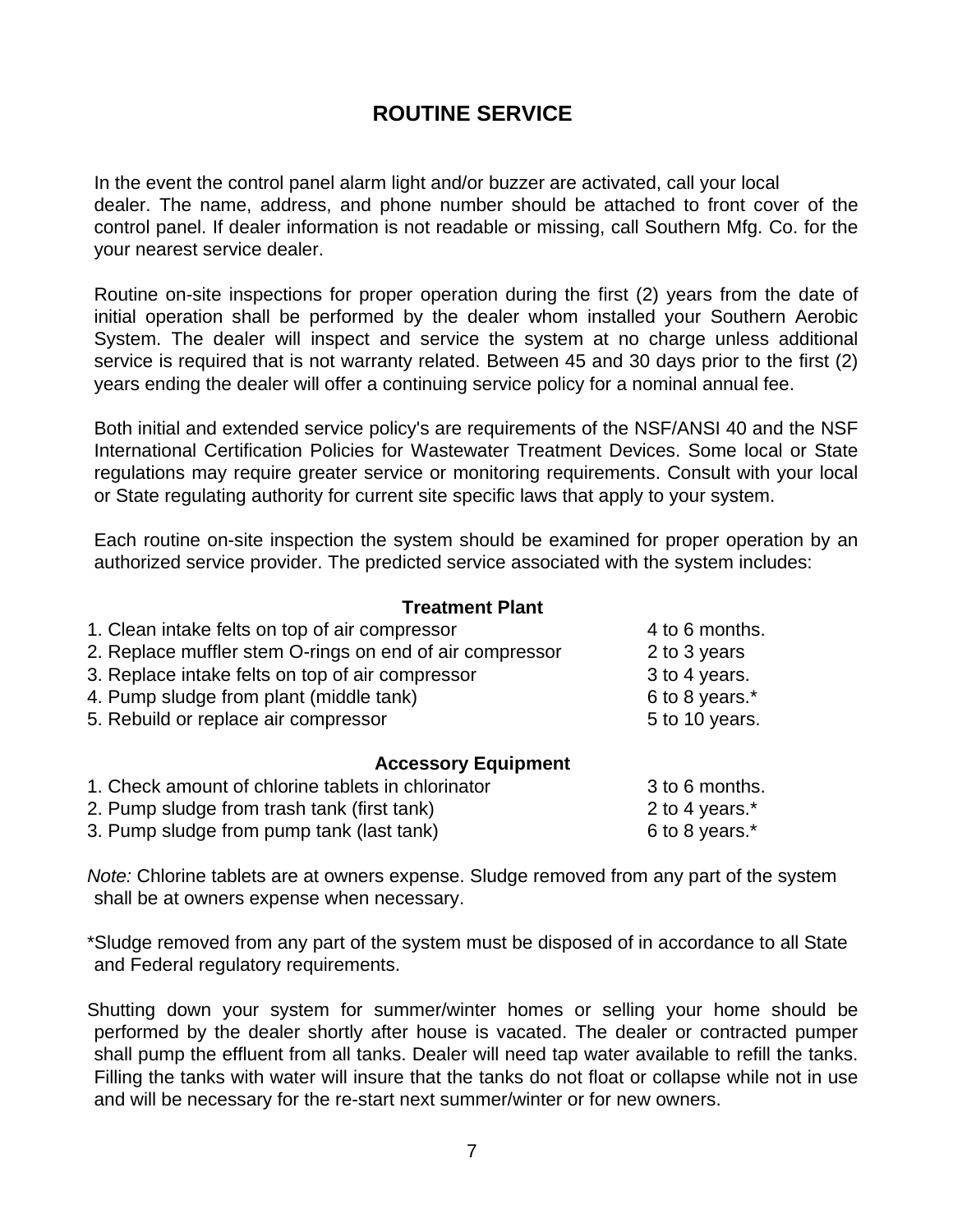## **ROUTINE SERVICE**

In the event the control panel alarm light and/or buzzer are activated, call your local dealer. The name, address, and phone number should be attached to front cover of the control panel. If dealer information is not readable or missing, call Southern Mfg. Co. for the your nearest service dealer.

Routine on-site inspections for proper operation during the first (2) years from the date of initial operation shall be performed by the dealer whom installed your Southern Aerobic System. The dealer will inspect and service the system at no charge unless additional service is required that is not warranty related. Between 45 and 30 days prior to the first (2) years ending the dealer will offer a continuing service policy for a nominal annual fee.

Both initial and extended service policy's are requirements of the NSF/ANSI 40 and the NSF International Certification Policies for Wastewater Treatment Devices. Some local or State regulations may require greater service or monitoring requirements. Consult with your local or State regulating authority for current site specific laws that apply to your system.

Each routine on-site inspection the system should be examined for proper operation by an authorized service provider. The predicted service associated with the system includes:

### **Treatment Plant**

| 1. Clean intake felts on top of air compressor           | 4 to 6 months. |
|----------------------------------------------------------|----------------|
| 2. Replace muffler stem O-rings on end of air compressor | 2 to 3 years   |
| 3. Replace intake felts on top of air compressor         | 3 to 4 years.  |
| 4. Pump sludge from plant (middle tank)                  | 6 to 8 years.* |
| 5. Rebuild or replace air compressor                     | 5 to 10 years. |
| <b>Accessory Equipment</b>                               |                |
| 1. Check amount of chlorine tablets in chlorinator       | 3 to 6 months. |

- 2. Pump sludge from trash tank (first tank) 2 to 4 years.\*
- 3. Pump sludge from pump tank (last tank) 6 to 8 years.\*

*Note:* Chlorine tablets are at owners expense. Sludge removed from any part of the system shall be at owners expense when necessary.

\*Sludge removed from any part of the system must be disposed of in accordance to all State and Federal regulatory requirements.

Shutting down your system for summer/winter homes or selling your home should be performed by the dealer shortly after house is vacated. The dealer or contracted pumper shall pump the effluent from all tanks. Dealer will need tap water available to refill the tanks. Filling the tanks with water will insure that the tanks do not float or collapse while not in use and will be necessary for the re-start next summer/winter or for new owners.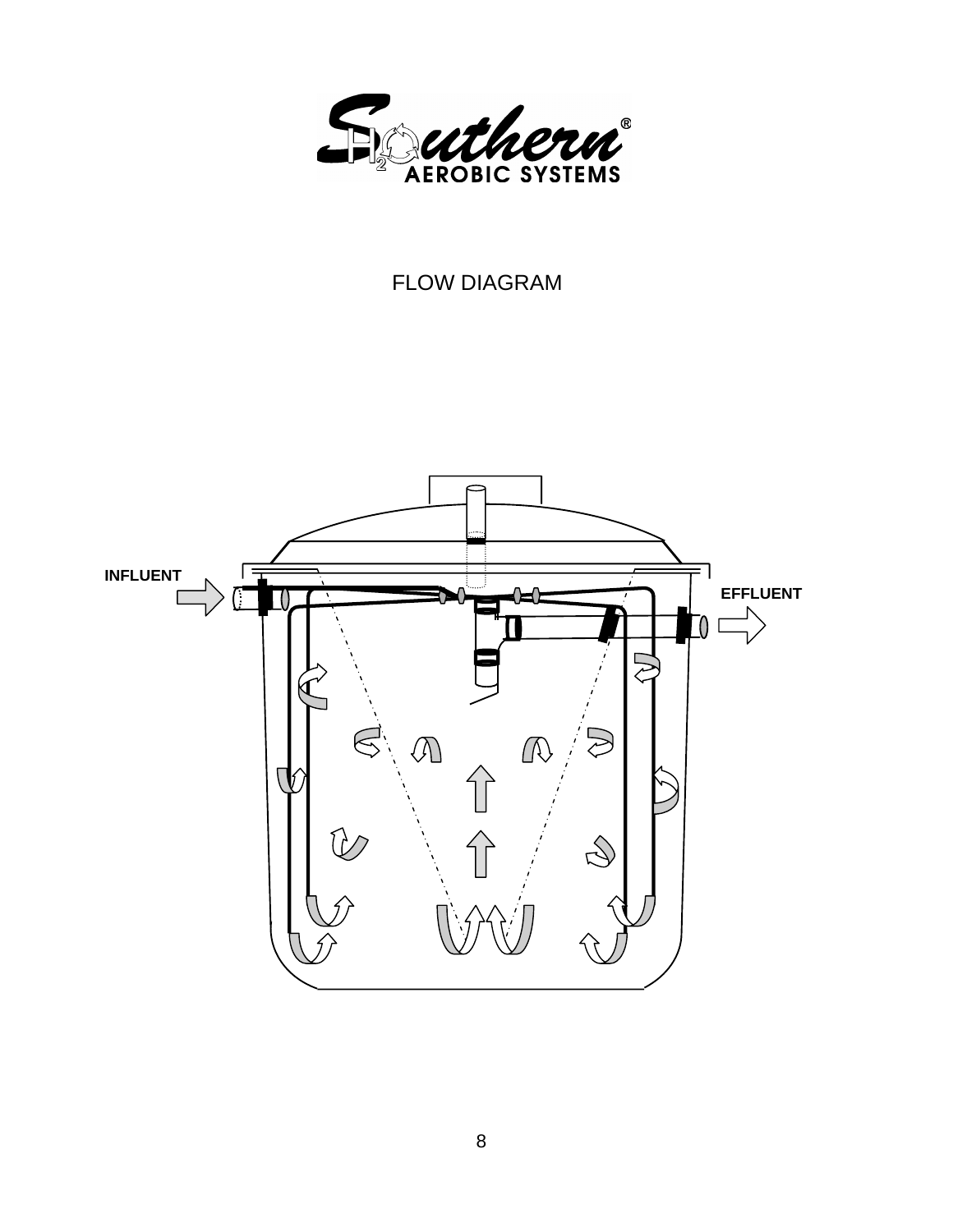

# FLOW DIAGRAM

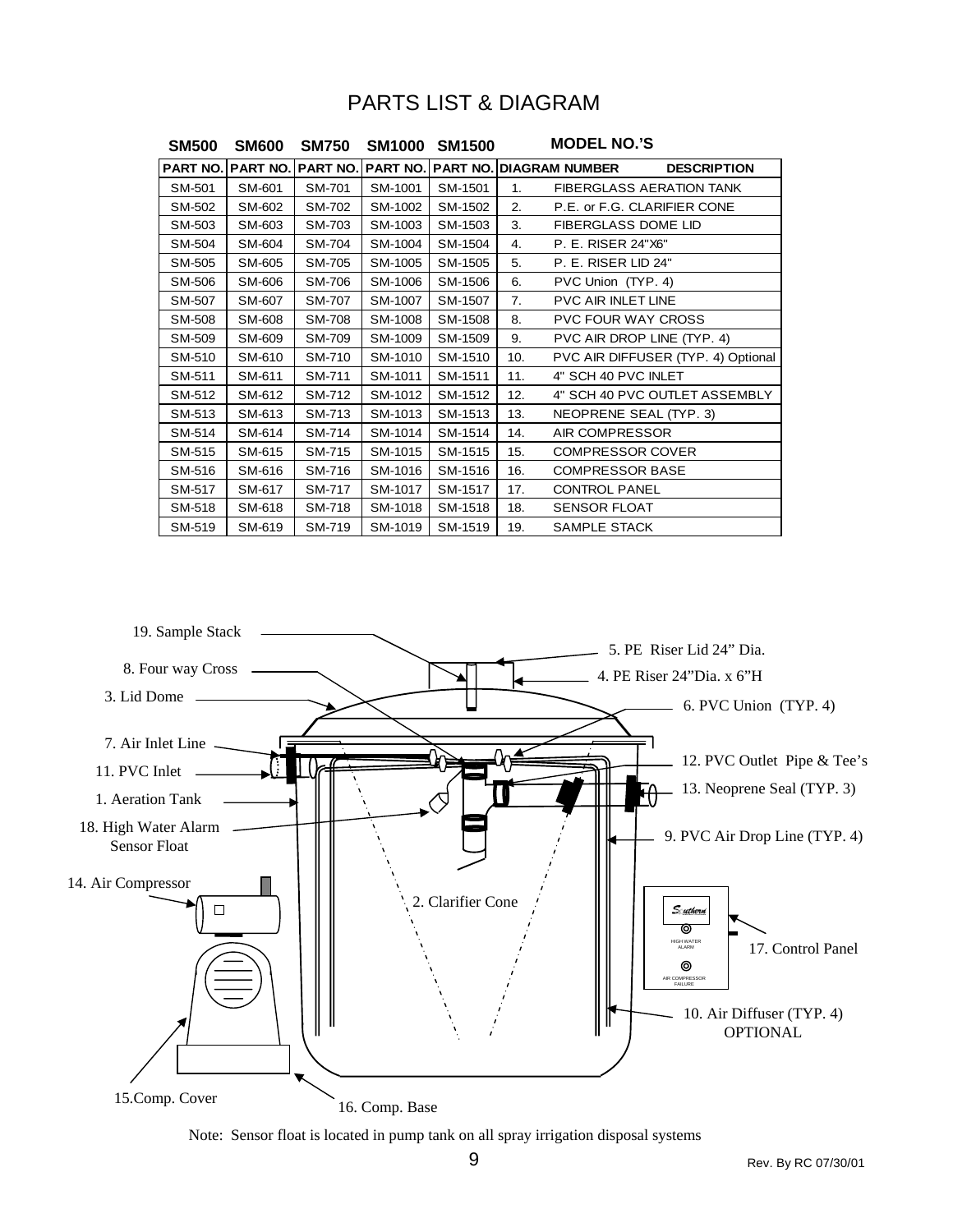### PARTS LIST & DIAGRAM

| <b>SM500</b> | <b>SM600</b>                      | <b>SM750</b>  | <b>SM1000</b> | <b>SM1500</b> |     | <b>MODEL NO.'S</b>                      |                                    |
|--------------|-----------------------------------|---------------|---------------|---------------|-----|-----------------------------------------|------------------------------------|
|              | <b>PART NO. PART NO. PART NO.</b> |               |               |               |     | <b>PART NO. PART NO. DIAGRAM NUMBER</b> | <b>DESCRIPTION</b>                 |
| SM-501       | SM-601                            | SM-701        | SM-1001       | SM-1501       | 1.  |                                         | <b>FIBERGLASS AERATION TANK</b>    |
| SM-502       | SM-602                            | SM-702        | SM-1002       | SM-1502       | 2.  |                                         | P.E. or F.G. CLARIFIER CONE        |
| SM-503       | SM-603                            | SM-703        | SM-1003       | SM-1503       | 3.  | FIBERGLASS DOME LID                     |                                    |
| SM-504       | SM-604                            | SM-704        | SM-1004       | SM-1504       | 4.  | P. E. RISER 24"X6"                      |                                    |
| SM-505       | SM-605                            | SM-705        | SM-1005       | SM-1505       | 5.  | P. E. RISER LID 24"                     |                                    |
| SM-506       | SM-606                            | SM-706        | SM-1006       | SM-1506       | 6.  | PVC Union (TYP. 4)                      |                                    |
| SM-507       | SM-607                            | SM-707        | SM-1007       | SM-1507       | 7.  | PVC AIR INLET LINE                      |                                    |
| SM-508       | SM-608                            | <b>SM-708</b> | SM-1008       | SM-1508       | 8.  | <b>PVC FOUR WAY CROSS</b>               |                                    |
| SM-509       | SM-609                            | SM-709        | SM-1009       | SM-1509       | 9.  |                                         | PVC AIR DROP LINE (TYP. 4)         |
| SM-510       | SM-610                            | SM-710        | SM-1010       | SM-1510       | 10. |                                         | PVC AIR DIFFUSER (TYP. 4) Optional |
| SM-511       | SM-611                            | SM-711        | SM-1011       | SM-1511       | 11. | 4" SCH 40 PVC INLET                     |                                    |
| SM-512       | SM-612                            | SM-712        | SM-1012       | SM-1512       | 12. |                                         | 4" SCH 40 PVC OUTLET ASSEMBLY      |
| SM-513       | SM-613                            | SM-713        | SM-1013       | SM-1513       | 13. | NEOPRENE SEAL (TYP. 3)                  |                                    |
| SM-514       | SM-614                            | SM-714        | SM-1014       | SM-1514       | 14. | AIR COMPRESSOR                          |                                    |
| SM-515       | SM-615                            | SM-715        | SM-1015       | SM-1515       | 15. | <b>COMPRESSOR COVER</b>                 |                                    |
| SM-516       | SM-616                            | SM-716        | SM-1016       | SM-1516       | 16. | <b>COMPRESSOR BASE</b>                  |                                    |
| SM-517       | SM-617                            | SM-717        | SM-1017       | SM-1517       | 17. | <b>CONTROL PANEL</b>                    |                                    |
| SM-518       | SM-618                            | SM-718        | SM-1018       | SM-1518       | 18. | <b>SENSOR FLOAT</b>                     |                                    |
| SM-519       | SM-619                            | SM-719        | SM-1019       | SM-1519       | 19. | SAMPLE STACK                            |                                    |



Note: Sensor float is located in pump tank on all spray irrigation disposal systems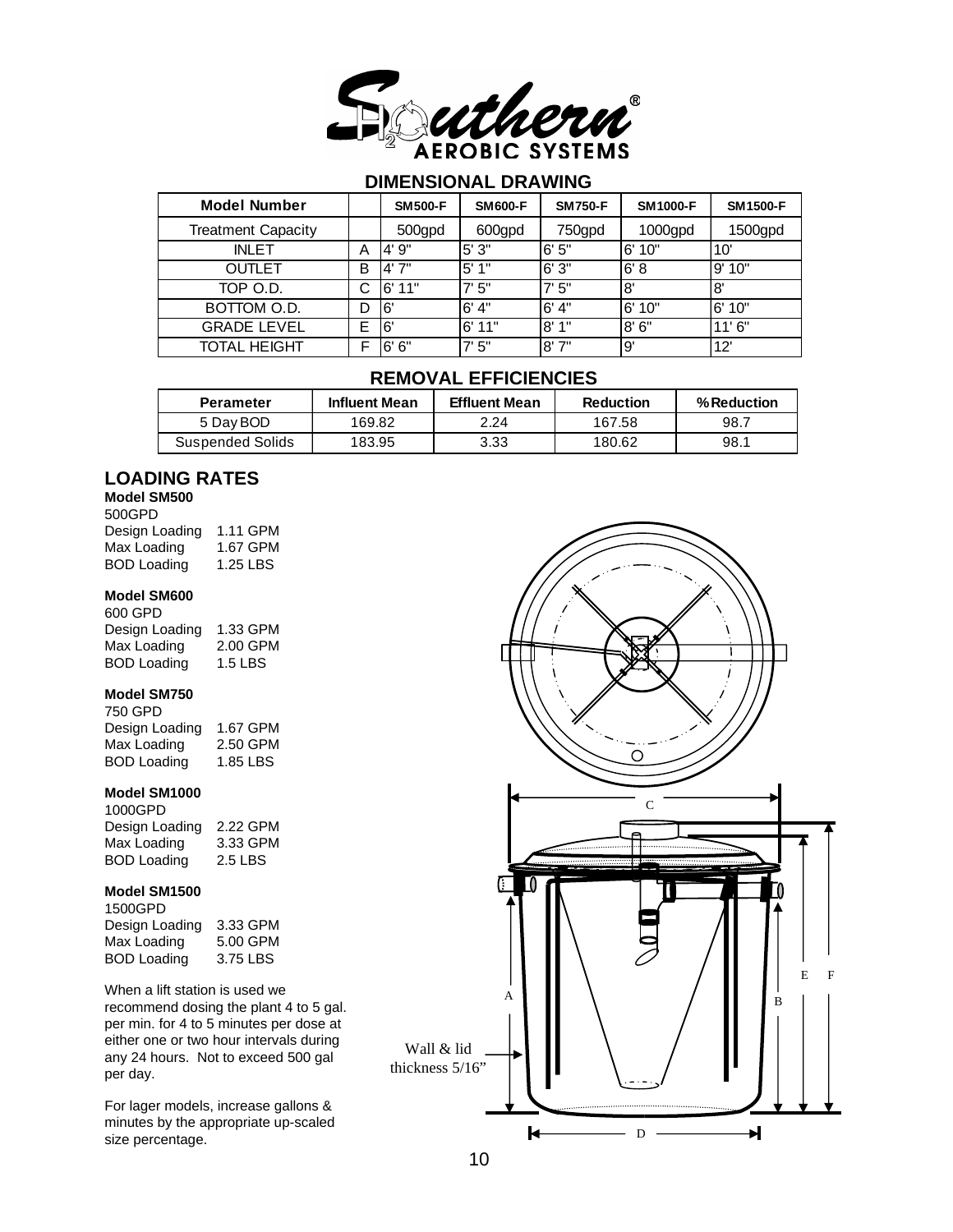

### **DIMENSIONAL DRAWING**

| <b>Model Number</b>       |   | <b>SM500-F</b> | <b>SM600-F</b> | <b>SM750-F</b> | <b>SM1000-F</b> | <b>SM1500-F</b> |
|---------------------------|---|----------------|----------------|----------------|-----------------|-----------------|
| <b>Treatment Capacity</b> |   | 500gpd         | 600gpd         | 750gpd         | 1000gpd         | 1500gpd         |
| <b>INLET</b>              | Α | 9"<br>4'       | 5'3''          | 6'5''          | 10"<br>6'       | 10'             |
| <b>OUTLET</b>             | B | 4'7''          | 5'1''          | 6'3''          | 6' 8            | l9' 10"         |
| TOP O.D.                  | С | 11"<br>-6'     | 7'5''          | 7'5''          | 8'              | 8               |
| BOTTOM O.D.               | D | 6'             | 6' 4''         | 6' 4"          | 10"<br>6'       | 10"<br>.6'      |
| <b>GRADE LEVEL</b>        | E | 16'            | 6'11"          | 8'1"           | 8'6''           | 11'6''          |
| <b>TOTAL HEIGHT</b>       | ⊏ | 6"<br>6'       | 7'5''          | 8'7''          | g'              | 12'             |

### **REMOVAL EFFICIENCIES**

| <b>Perameter</b> | <b>Influent Mean</b> | <b>Effluent Mean</b> | <b>Reduction</b> | % Reduction |
|------------------|----------------------|----------------------|------------------|-------------|
| 5 Day BOD        | 169.82               | 2.24                 | 167.58           | 98.7        |
| Suspended Solids | 183.95               | 3.33                 | 180.62           | 98.1        |

### **LOADING RATES**

### **Model SM500**

| 500GPD             |          |
|--------------------|----------|
| Design Loading     | 1.11 GPM |
| Max Loading        | 1.67 GPM |
| <b>BOD Loading</b> | 1.25 LBS |

#### **Model SM600**

| 600 GPD            |          |
|--------------------|----------|
| Design Loading     | 1.33 GPM |
| Max Loading        | 2.00 GPM |
| <b>BOD Loading</b> | 1.5 LBS  |

#### **Model SM750**

| 750 GPD            |          |
|--------------------|----------|
| Design Loading     | 1.67 GPM |
| Max Loading        | 2.50 GPM |
| <b>BOD Loading</b> | 1.85 LBS |

#### **Model SM1000**

| 1000GPD            |          |
|--------------------|----------|
| Design Loading     | 2.22 GPM |
| Max Loading        | 3.33 GPM |
| <b>BOD Loading</b> | 2.5 LBS  |

#### **Model SM1500**

| 1500GPD            |          |
|--------------------|----------|
| Design Loading     | 3.33 GPM |
| Max Loading        | 5.00 GPM |
| <b>BOD Loading</b> | 3.75 LBS |

When a lift station is used we recommend dosing the plant 4 to 5 gal. per min. for 4 to 5 minutes per dose at either one or two hour intervals during any 24 hours. Not to exceed 500 gal per day.

For lager models, increase gallons & minutes by the appropriate up-scaled size percentage.

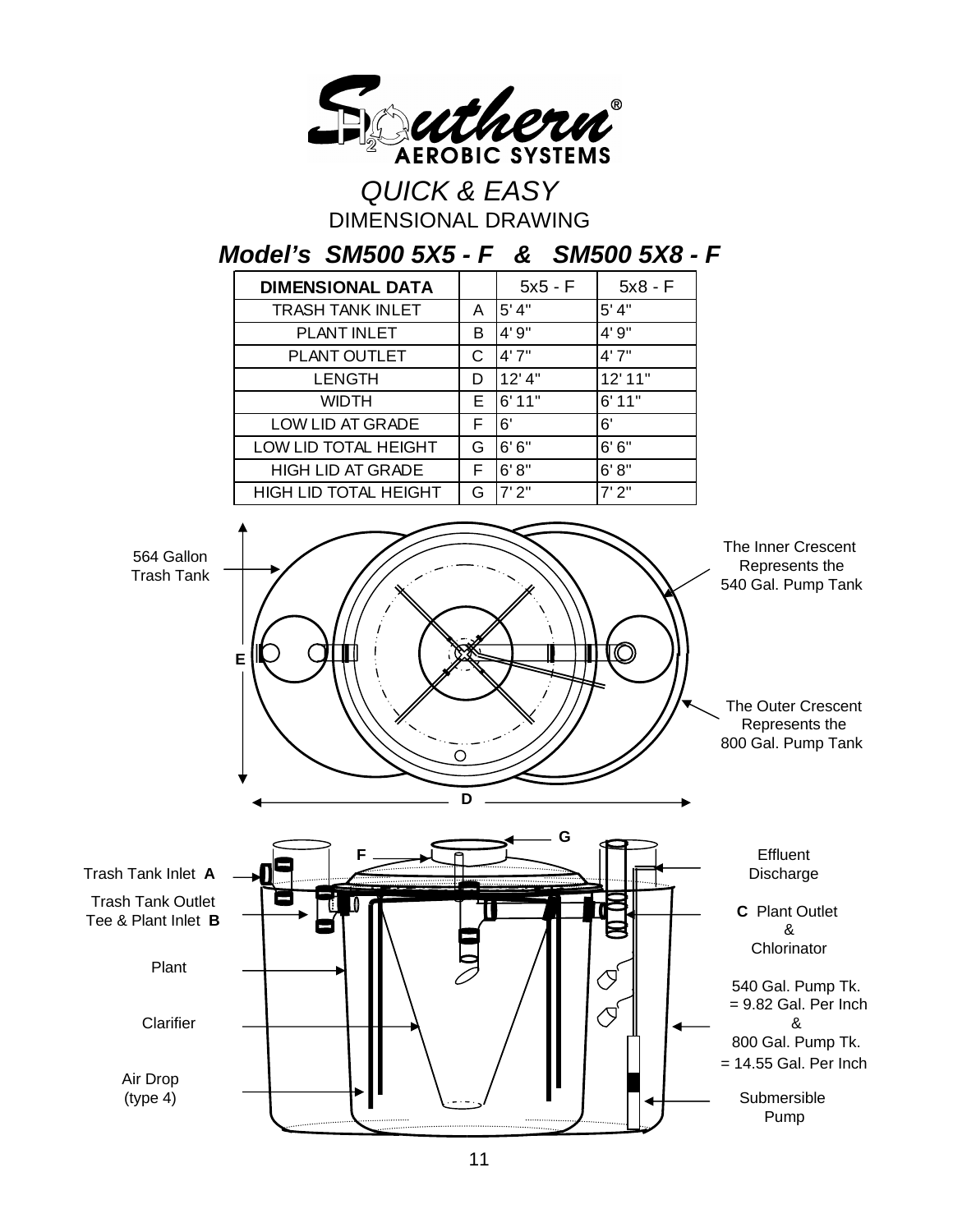

*QUICK & EASY* DIMENSIONAL DRAWING

*Model's SM500 5X5 - F & SM500 5X8 - F*

| <b>DIMENSIONAL DATA</b>      |    | $5x5 - F$ | $5x8 - F$ |
|------------------------------|----|-----------|-----------|
| <b>TRASH TANK INLET</b>      | A  | 5' 4"     | 5' 4"     |
| PLANT INLET                  | в  | 4'9''     | 4'9"      |
| PLANT OUTLET                 | С  | 4'7''     | 4'7''     |
| <b>LENGTH</b>                | D  | 12' 4"    | 12'11"    |
| <b>WIDTH</b>                 | E. | 6'11"     | 6'11"     |
| LOW LID AT GRADE             | F  | 6'        | 6'        |
| LOW LID TOTAL HEIGHT         | G  | 6'6''     | 6'6''     |
| <b>HIGH LID AT GRADE</b>     | F  | 6'8''     | 6' 8''    |
| <b>HIGH LID TOTAL HEIGHT</b> | G  | 7'2"      | 7'2"      |

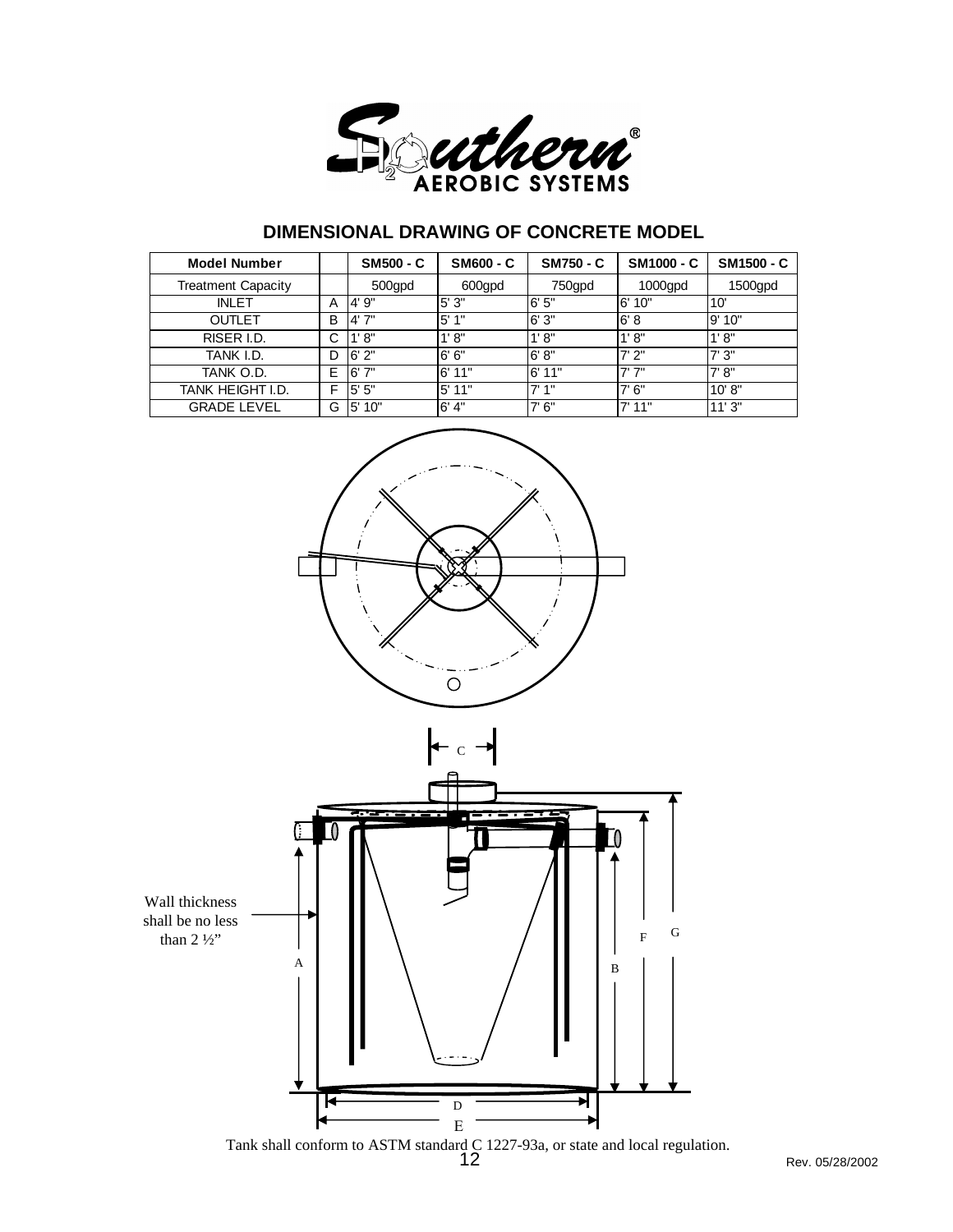

### **DIMENSIONAL DRAWING OF CONCRETE MODEL**

| <b>Model Number</b>       |   | <b>SM500 - C</b> | <b>SM600 - C</b> | <b>SM750 - C</b> | <b>SM1000 - C</b> | <b>SM1500 - C</b> |
|---------------------------|---|------------------|------------------|------------------|-------------------|-------------------|
| <b>Treatment Capacity</b> |   | 500gpd           | 600gpd           | 750gpd           | $1000$ gpd        | 1500gpd           |
| <b>INLET</b>              | A | 4'9''            | 5'3''            | 6'5''            | l 6'<br>10"       | 10'               |
| <b>OUTLET</b>             | B | 4'7''            | 5'1''            | 6'3''            | 6'8               | 9'10"             |
| RISER I.D.                | С | 1' 8''           | 1' 8''           | 1' 8''           | 1' 8''            | 1' 8''            |
| TANK I.D.                 | D | 6'2"             | 6'6''            | 6' 8''           | 7'2"              | 7'3''             |
| tank o.d.                 | Е | 6'7''            | 6'11"            | 6'11"            | 7'7''             | 7' 8''            |
| TANK HEIGHT I.D.          | F | 5"<br>5'         | $5'$ 11"         | 7'1''            | 7'6''             | 10' 8''           |
| <b>GRADE LEVEL</b>        | G | 10"<br>5'        | 6' 4''           | 7'6''            | $7'$ 11"          | 11'3"             |



Tank shall conform to ASTM standard C 1227-93a, or state and local regulation.<br>12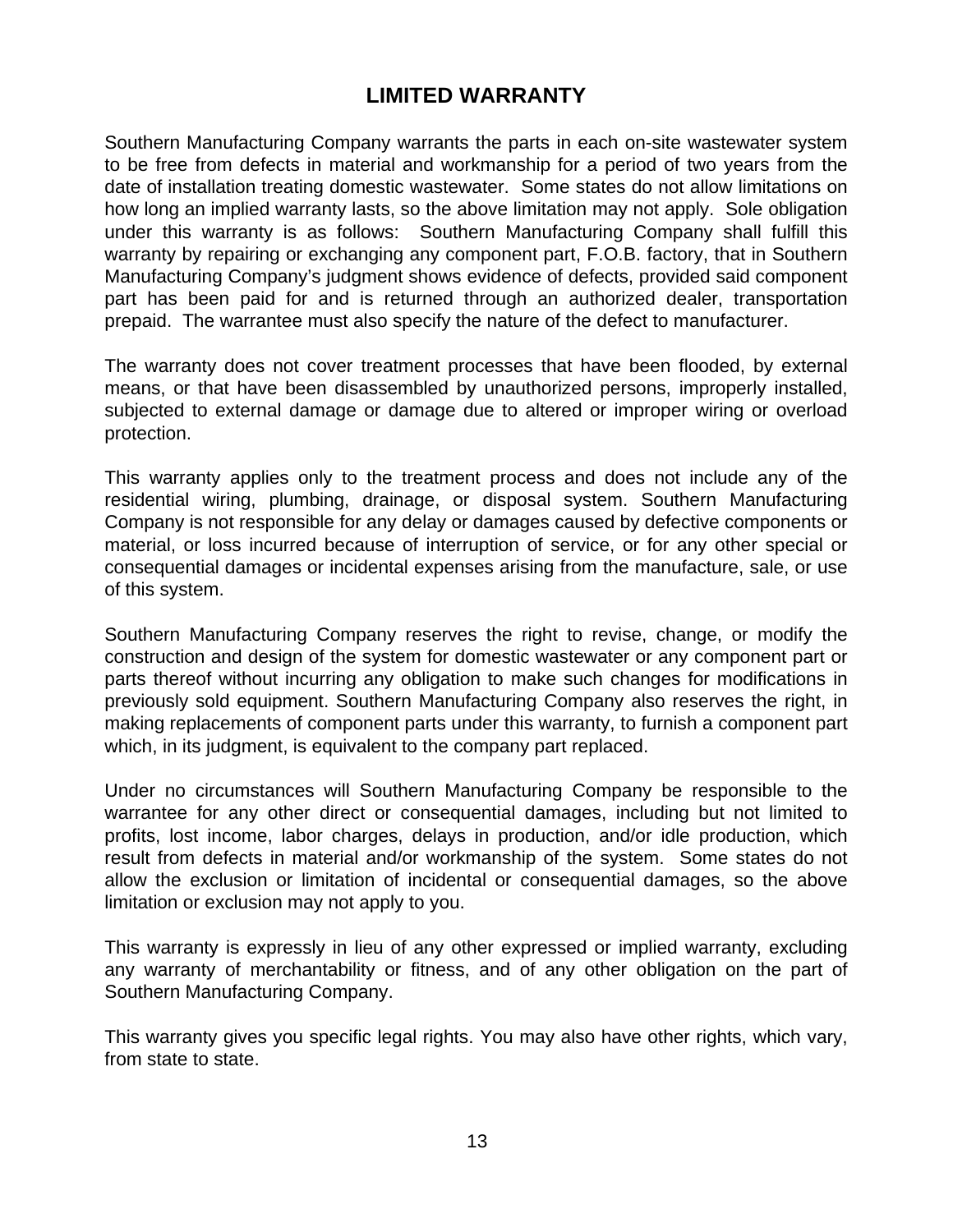### **LIMITED WARRANTY**

Southern Manufacturing Company warrants the parts in each on-site wastewater system to be free from defects in material and workmanship for a period of two years from the date of installation treating domestic wastewater. Some states do not allow limitations on how long an implied warranty lasts, so the above limitation may not apply. Sole obligation under this warranty is as follows: Southern Manufacturing Company shall fulfill this warranty by repairing or exchanging any component part, F.O.B. factory, that in Southern Manufacturing Company's judgment shows evidence of defects, provided said component part has been paid for and is returned through an authorized dealer, transportation prepaid. The warrantee must also specify the nature of the defect to manufacturer.

The warranty does not cover treatment processes that have been flooded, by external means, or that have been disassembled by unauthorized persons, improperly installed, subjected to external damage or damage due to altered or improper wiring or overload protection.

This warranty applies only to the treatment process and does not include any of the residential wiring, plumbing, drainage, or disposal system. Southern Manufacturing Company is not responsible for any delay or damages caused by defective components or material, or loss incurred because of interruption of service, or for any other special or consequential damages or incidental expenses arising from the manufacture, sale, or use of this system.

Southern Manufacturing Company reserves the right to revise, change, or modify the construction and design of the system for domestic wastewater or any component part or parts thereof without incurring any obligation to make such changes for modifications in previously sold equipment. Southern Manufacturing Company also reserves the right, in making replacements of component parts under this warranty, to furnish a component part which, in its judgment, is equivalent to the company part replaced.

Under no circumstances will Southern Manufacturing Company be responsible to the warrantee for any other direct or consequential damages, including but not limited to profits, lost income, labor charges, delays in production, and/or idle production, which result from defects in material and/or workmanship of the system. Some states do not allow the exclusion or limitation of incidental or consequential damages, so the above limitation or exclusion may not apply to you.

This warranty is expressly in lieu of any other expressed or implied warranty, excluding any warranty of merchantability or fitness, and of any other obligation on the part of Southern Manufacturing Company.

This warranty gives you specific legal rights. You may also have other rights, which vary, from state to state.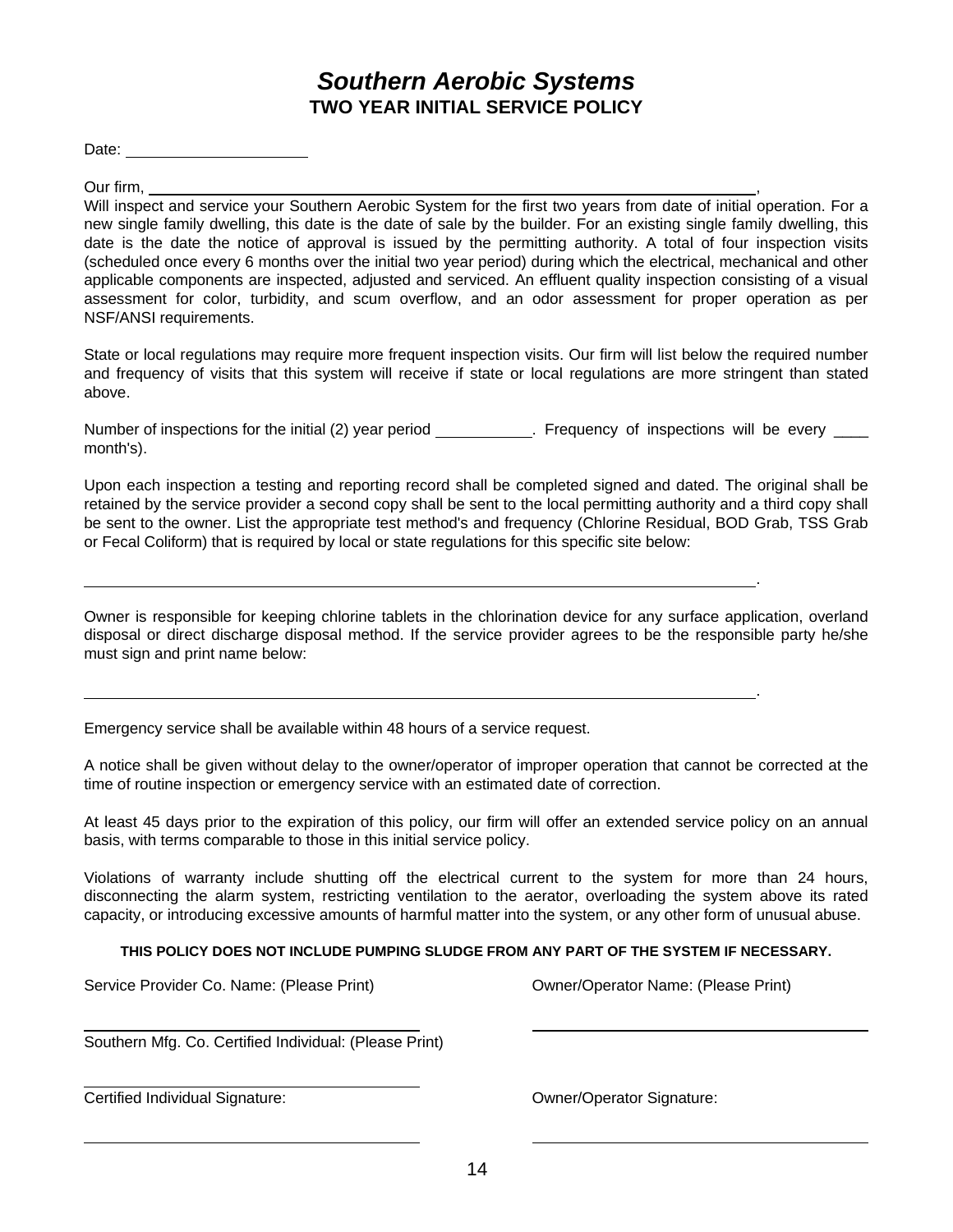### *Southern Aerobic Systems* **TWO YEAR INITIAL SERVICE POLICY**

Date:

Our firm,

Will inspect and service your Southern Aerobic System for the first two years from date of initial operation. For a new single family dwelling, this date is the date of sale by the builder. For an existing single family dwelling, this date is the date the notice of approval is issued by the permitting authority. A total of four inspection visits (scheduled once every 6 months over the initial two year period) during which the electrical, mechanical and other applicable components are inspected, adjusted and serviced. An effluent quality inspection consisting of a visual assessment for color, turbidity, and scum overflow, and an odor assessment for proper operation as per NSF/ANSI requirements.

State or local regulations may require more frequent inspection visits. Our firm will list below the required number and frequency of visits that this system will receive if state or local regulations are more stringent than stated above.

Number of inspections for the initial (2) year period . Frequency of inspections will be every month's).

Upon each inspection a testing and reporting record shall be completed signed and dated. The original shall be retained by the service provider a second copy shall be sent to the local permitting authority and a third copy shall be sent to the owner. List the appropriate test method's and frequency (Chlorine Residual, BOD Grab, TSS Grab or Fecal Coliform) that is required by local or state regulations for this specific site below:

Owner is responsible for keeping chlorine tablets in the chlorination device for any surface application, overland disposal or direct discharge disposal method. If the service provider agrees to be the responsible party he/she must sign and print name below:

Emergency service shall be available within 48 hours of a service request.

A notice shall be given without delay to the owner/operator of improper operation that cannot be corrected at the time of routine inspection or emergency service with an estimated date of correction.

At least 45 days prior to the expiration of this policy, our firm will offer an extended service policy on an annual basis, with terms comparable to those in this initial service policy.

Violations of warranty include shutting off the electrical current to the system for more than 24 hours, disconnecting the alarm system, restricting ventilation to the aerator, overloading the system above its rated capacity, or introducing excessive amounts of harmful matter into the system, or any other form of unusual abuse.

#### **THIS POLICY DOES NOT INCLUDE PUMPING SLUDGE FROM ANY PART OF THE SYSTEM IF NECESSARY.**

Service Provider Co. Name: (Please Print) Communication Control Control Control Communication Communication Co

.

.

Southern Mfg. Co. Certified Individual: (Please Print)

Certified Individual Signature: Owner/Operator Signature: